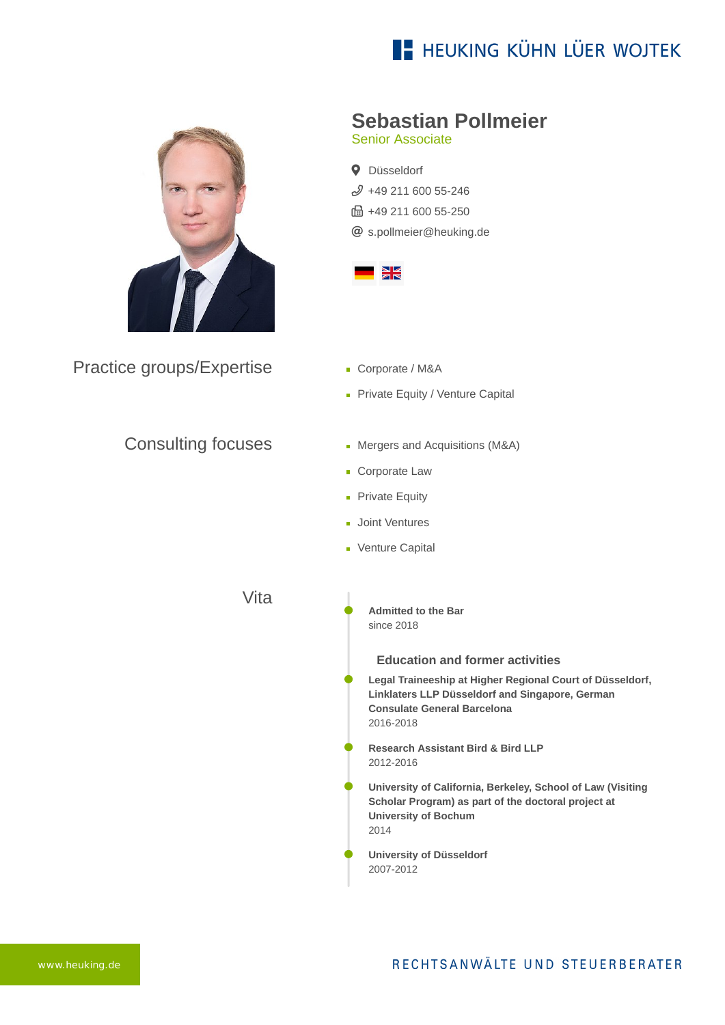# **E- HEUKING KÜHN LÜER WOJTEK**



Practice groups/Expertise

### Consulting focuses

**Sebastian Pollmeier**

Senior Associate

**Q** Düsseldorf  $$49$  211 600 55-246 ft: +49 211 600 55-250 [s.pollmeier@heuking.de](mailto:s.pollmeier@heuking.de?subject=Contact%20via%20website%20heuking.de)



- Corporate / M&A
- Private Equity / Venture Capital
- Mergers and Acquisitions (M&A)
- **Corporate Law**
- **Private Equity**
- **Joint Ventures**
- **Venture Capital**

Vita

**Admitted to the Bar** since 2018

#### **Education and former activities**

- **Legal Traineeship at Higher Regional Court of Düsseldorf, Linklaters LLP Düsseldorf and Singapore, German Consulate General Barcelona** 2016-2018
- **Research Assistant Bird & Bird LLP** 2012-2016
- **University of California, Berkeley, School of Law (Visiting Scholar Program) as part of the doctoral project at University of Bochum** 2014
- **University of Düsseldorf** 2007-2012